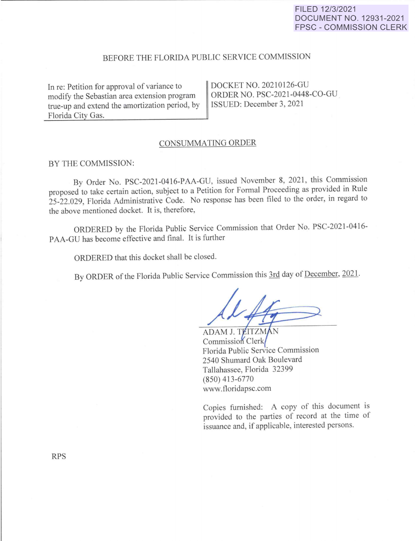## FILED 12/3/2021 DOCUMENT NO. 12931-2021 FPSC - COMMISSION CLERK

# BEFORE THE FLORIDA PUBLIC SERVICE COMMISSION

In re: Petition for approval of variance to modify the Sebastian area extension program true-up and extend the amortization period, by Florida City Gas.

DOCKET NO. 20210126-GU ORDER NO. PSC-2021-0448-CO-GU ISSUED: December 3, 2021

#### CONSUMMATING ORDER

#### BY THE COMMISSION:

By Order No. PSC-2021-0416-PAA-GU, issued November 8, 2021, this Commission proposed to take certain action, subject to a Petition for Formal Proceeding as provided in Rule 25-22.029, Florida Administrative Code. No response has been filed to the order, in regard to the above mentioned docket. It is, therefore,

ORDERED by the Florida Public Service Commission that Order No. PSC-2021-0416 <sup>p</sup>AA-GU has become effective and final. It is further

ORDERED that this docket shall be closed.

By ORDER of the Florida Public Service Commission this 3rd day of December, 2021.

ADAM J. TEITZMAN Commission Clerk Florida Public Service Commission 2540 Shumard Oak Boulevard Tallahassee, Florida 32399 (850) 413-6770 www.floridapsc.com

Copies furnished: A copy of this document is provided to the parties of record at the time of issuance and, if applicable, interested persons.